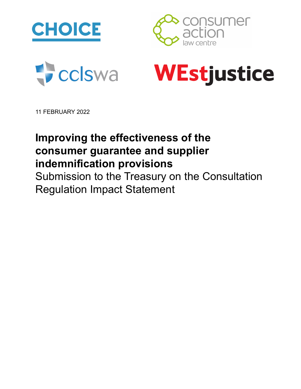







11 FEBRUARY 2022

# **Improving the effectiveness of the consumer guarantee and supplier indemnification provisions**

Submission to the Treasury on the Consultation Regulation Impact Statement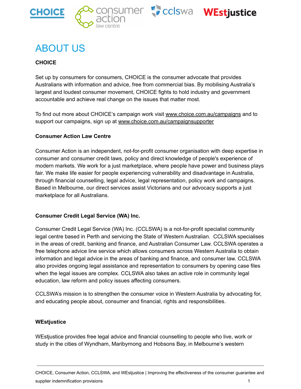





# <span id="page-1-0"></span>ABOUT US

#### **CHOICE**

Set up by consumers for consumers, CHOICE is the consumer advocate that provides Australians with information and advice, free from commercial bias. By mobilising Australia's largest and loudest consumer movement, CHOICE fights to hold industry and government accountable and achieve real change on the issues that matter most.

To find out more about CHOICE's campaign work visit www.choice.com.au/campaigns and to support our campaigns, sign up at www.choice.com.au/campaignsupporter

#### **Consumer Action Law Centre**

Consumer Action is an independent, not-for-profit consumer organisation with deep expertise in consumer and consumer credit laws, policy and direct knowledge of people's experience of modern markets. We work for a just marketplace, where people have power and business plays fair. We make life easier for people experiencing vulnerability and disadvantage in Australia, through financial counselling, legal advice, legal representation, policy work and campaigns. Based in Melbourne, our direct services assist Victorians and our advocacy supports a just marketplace for all Australians.

#### **Consumer Credit Legal Service (WA) Inc.**

Consumer Credit Legal Service (WA) Inc. (CCLSWA) is a not-for-profit specialist community legal centre based in Perth and servicing the State of Western Australian. CCLSWA specialises in the areas of credit, banking and finance, and Australian Consumer Law. CCLSWA operates a free telephone advice line service which allows consumers across Western Australia to obtain information and legal advice in the areas of banking and finance, and consumer law. CCLSWA also provides ongoing legal assistance and representation to consumers by opening case files when the legal issues are complex. CCLSWA also takes an active role in community legal education, law reform and policy issues affecting consumers.

CCLSWA's mission is to strengthen the consumer voice in Western Australia by advocating for, and educating people about, consumer and financial, rights and responsibilities.

#### **WEstjustice**

WEstjustice provides free legal advice and financial counselling to people who live, work or study in the cities of Wyndham, Maribyrnong and Hobsons Bay, in Melbourne's western

CHOICE, Consumer Action, CCLSWA, and WEstjustice | Improving the effectiveness of the consumer guarantee and supplier indemnification provisions 1 and 200 minutes of the state of the state of the state of the state of the state of the state of the state of the state of the state of the state of the state of the state of the state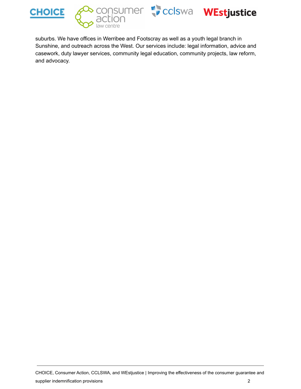







suburbs. We have offices in Werribee and Footscray as well as a youth legal branch in Sunshine, and outreach across the West. Our services include: legal information, advice and casework, duty lawyer services, community legal education, community projects, law reform, and advocacy.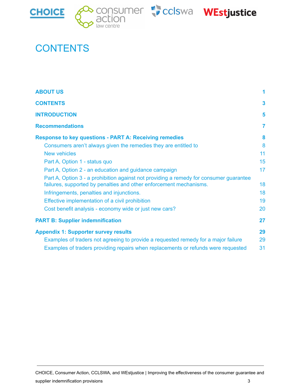







# <span id="page-3-0"></span>**CONTENTS**

| <b>ABOUT US</b><br><b>CONTENTS</b><br><b>INTRODUCTION</b><br><b>Recommendations</b>                                                                          | 3<br>5<br>7 |                                                                 |    |
|--------------------------------------------------------------------------------------------------------------------------------------------------------------|-------------|-----------------------------------------------------------------|----|
|                                                                                                                                                              |             | <b>Response to key questions - PART A: Receiving remedies</b>   | 8  |
|                                                                                                                                                              |             | Consumers aren't always given the remedies they are entitled to | 8  |
|                                                                                                                                                              |             | <b>New vehicles</b>                                             | 11 |
| Part A, Option 1 - status quo                                                                                                                                | 15          |                                                                 |    |
| Part A, Option 2 - an education and guidance campaign                                                                                                        | 17          |                                                                 |    |
| Part A, Option 3 - a prohibition against not providing a remedy for consumer guarantee<br>failures, supported by penalties and other enforcement mechanisms. | 18          |                                                                 |    |
| Infringements, penalties and injunctions.                                                                                                                    | 18          |                                                                 |    |
| Effective implementation of a civil prohibition<br>Cost benefit analysis - economy wide or just new cars?                                                    | 19<br>20    |                                                                 |    |
| <b>PART B: Supplier indemnification</b>                                                                                                                      | 27          |                                                                 |    |
| <b>Appendix 1: Supporter survey results</b>                                                                                                                  | 29          |                                                                 |    |
| Examples of traders not agreeing to provide a requested remedy for a major failure                                                                           | 29          |                                                                 |    |
| Examples of traders providing repairs when replacements or refunds were requested                                                                            | 31          |                                                                 |    |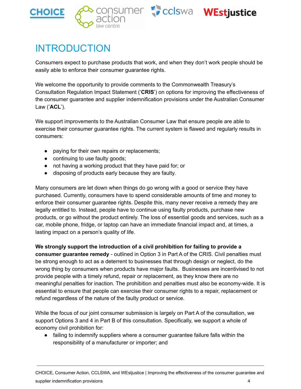





# <span id="page-4-0"></span>INTRODUCTION

Consumers expect to purchase products that work, and when they don't work people should be easily able to enforce their consumer guarantee rights.

We welcome the opportunity to provide comments to the Commonwealth Treasury's Consultation Regulation Impact Statement ('**CRIS**') on options for improving the effectiveness of the consumer guarantee and supplier indemnification provisions under the Australian Consumer Law ('**ACL**').

We support improvements to the Australian Consumer Law that ensure people are able to exercise their consumer guarantee rights. The current system is flawed and regularly results in consumers:

- paying for their own repairs or replacements;
- continuing to use faulty goods;
- not having a working product that they have paid for; or
- disposing of products early because they are faulty.

Many consumers are let down when things do go wrong with a good or service they have purchased. Currently, consumers have to spend considerable amounts of time and money to enforce their consumer guarantee rights. Despite this, many never receive a remedy they are legally entitled to. Instead, people have to continue using faulty products, purchase new products, or go without the product entirely. The loss of essential goods and services, such as a car, mobile phone, fridge, or laptop can have an immediate financial impact and, at times, a lasting impact on a person's quality of life.

#### **We strongly support the introduction of a civil prohibition for failing to provide a**

**consumer guarantee remedy** - outlined in Option 3 in Part A of the CRIS. Civil penalties must be strong enough to act as a deterrent to businesses that through design or neglect, do the wrong thing by consumers when products have major faults. Businesses are incentivised to not provide people with a timely refund, repair or replacement, as they know there are no meaningful penalties for inaction. The prohibition and penalties must also be economy-wide. It is essential to ensure that people can exercise their consumer rights to a repair, replacement or refund regardless of the nature of the faulty product or service.

While the focus of our joint consumer submission is largely on Part A of the consultation, we support Options 3 and 4 in Part B of this consultation. Specifically, we support a whole of economy civil prohibition for:

● failing to indemnify suppliers where a consumer guarantee failure falls within the responsibility of a manufacturer or importer; and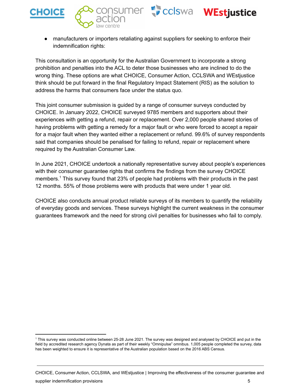





● manufacturers or importers retaliating against suppliers for seeking to enforce their indemnification rights:

This consultation is an opportunity for the Australian Government to incorporate a strong prohibition and penalties into the ACL to deter those businesses who are inclined to do the wrong thing. These options are what CHOICE, Consumer Action, CCLSWA and WEstjustice think should be put forward in the final Regulatory Impact Statement (RIS) as the solution to address the harms that consumers face under the status quo.

This joint consumer submission is guided by a range of consumer surveys conducted by CHOICE. In January 2022, CHOICE surveyed 9785 members and supporters about their experiences with getting a refund, repair or replacement. Over 2,000 people shared stories of having problems with getting a remedy for a major fault or who were forced to accept a repair for a major fault when they wanted either a replacement or refund. 99.6% of survey respondents said that companies should be penalised for failing to refund, repair or replacement where required by the Australian Consumer Law.

In June 2021, CHOICE undertook a nationally representative survey about people's experiences with their consumer guarantee rights that confirms the findings from the survey CHOICE members.<sup>1</sup> This survey found that 23% of people had problems with their products in the past 12 months. 55% of those problems were with products that were under 1 year old.

CHOICE also conducts annual product reliable surveys of its members to quantify the reliability of everyday goods and services. These surveys highlight the current weakness in the consumer guarantees framework and the need for strong civil penalties for businesses who fail to comply.

<sup>1</sup> This survey was conducted online between 25-28 June 2021. The survey was designed and analysed by CHOICE and put in the field by accredited research agency Dynata as part of their weekly "Omnipulse" omnibus. 1,005 people completed the survey, data has been weighted to ensure it is representative of the Australian population based on the 2016 ABS Census.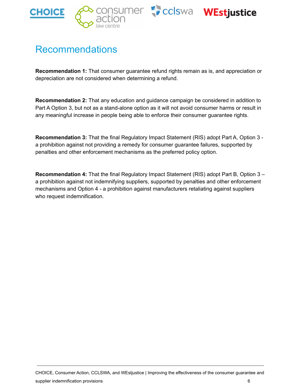





# <span id="page-6-0"></span>Recommendations

**Recommendation 1:** That consumer guarantee refund rights remain as is, and appreciation or depreciation are not considered when determining a refund.

**Recommendation 2:** That any education and guidance campaign be considered in addition to Part A Option 3, but not as a stand-alone option as it will not avoid consumer harms or result in any meaningful increase in people being able to enforce their consumer guarantee rights.

**Recommendation 3:** That the final Regulatory Impact Statement (RIS) adopt Part A, Option 3 a prohibition against not providing a remedy for consumer guarantee failures, supported by penalties and other enforcement mechanisms as the preferred policy option.

**Recommendation 4:** That the final Regulatory Impact Statement (RIS) adopt Part B, Option 3 – a prohibition against not indemnifying suppliers, supported by penalties and other enforcement mechanisms and Option 4 - a prohibition against manufacturers retaliating against suppliers who request indemnification.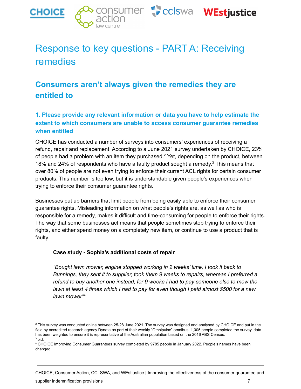

# <span id="page-7-0"></span>Response to key questions - PART A: Receiving remedies

### <span id="page-7-1"></span>**Consumers aren't always given the remedies they are entitled to**

#### **1. Please provide any relevant information or data you have to help estimate the extent to which consumers are unable to access consumer guarantee remedies when entitled**

CHOICE has conducted a number of surveys into consumers' experiences of receiving a refund, repair and replacement. According to a June 2021 survey undertaken by CHOICE, 23% of people had a problem with an item they purchased.<sup>2</sup> Yet, depending on the product, between 18% and 24% of respondents who have a faulty product sought a remedy. $3$  This means that over 80% of people are not even trying to enforce their current ACL rights for certain consumer products. This number is too low, but it is understandable given people's experiences when trying to enforce their consumer guarantee rights.

Businesses put up barriers that limit people from being easily able to enforce their consumer guarantee rights. Misleading information on what people's rights are, as well as who is responsible for a remedy, makes it difficult and time-consuming for people to enforce their rights. The way that some businesses act means that people sometimes stop trying to enforce their rights, and either spend money on a completely new item, or continue to use a product that is faulty.

#### **Case study - Sophia's additional costs of repair**

*"Bought lawn mower, engine stopped working in 2 weeks' time, I took it back to Bunnings, they sent it to supplier, took them 9 weeks to repairs, whereas I preferred a refund to buy another one instead, for 9 weeks I had to pay someone else to mow the* lawn at least 4 times which I had to pay for even though I paid almost \$500 for a new *lawn mower" 4*

CHOICE, Consumer Action, CCLSWA, and WEstjustice | Improving the effectiveness of the consumer guarantee and

supplier indemnification provisions **7** and the state of the state of the state of the state of the state of the state of the state of the state of the state of the state of the state of the state of the state of the state

<sup>3</sup> ibid. <sup>2</sup> This survey was conducted online between 25-28 June 2021. The survey was designed and analysed by CHOICE and put in the field by accredited research agency Dynata as part of their weekly "Omnipulse" omnibus. 1,005 people completed the survey, data has been weighted to ensure it is representative of the Australian population based on the 2016 ABS Census.

<sup>4</sup> CHOICE Improving Consumer Guarantees survey completed by 9785 people in January 2022. People's names have been changed.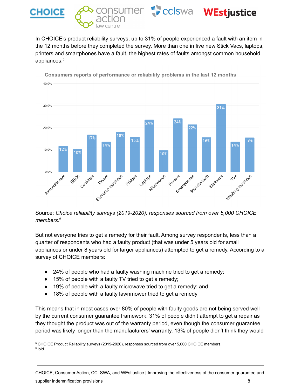

In CHOICE's product reliability surveys, up to 31% of people experienced a fault with an item in the 12 months before they completed the survey. More than one in five new Stick Vacs, laptops, printers and smartphones have a fault, the highest rates of faults amongst common household appliances. 5



Consumers reports of performance or reliability problems in the last 12 months

Source: *Choice reliability surveys (2019-2020), responses sourced from over 5,000 CHOICE members.* 6

But not everyone tries to get a remedy for their fault. Among survey respondents, less than a quarter of respondents who had a faulty product (that was under 5 years old for small appliances or under 8 years old for larger appliances) attempted to get a remedy. According to a survey of CHOICE members:

- 24% of people who had a faulty washing machine tried to get a remedy;
- 15% of people with a faulty TV tried to get a remedy;
- 19% of people with a faulty microwave tried to get a remedy; and
- 18% of people with a faulty lawnmower tried to get a remedy

This means that in most cases over 80% of people with faulty goods are not being served well by the current consumer guarantee framework. 31% of people didn't attempt to get a repair as they thought the product was out of the warranty period, even though the consumer guarantee period was likely longer than the manufacturers' warranty. 13% of people didn't think they would

CHOICE, Consumer Action, CCLSWA, and WEstjustice | Improving the effectiveness of the consumer guarantee and supplier indemnification provisions 8

<sup>6</sup> ibid. <sup>5</sup> CHOICE Product Reliability surveys (2019-2020), responses sourced from over 5,000 CHOICE members.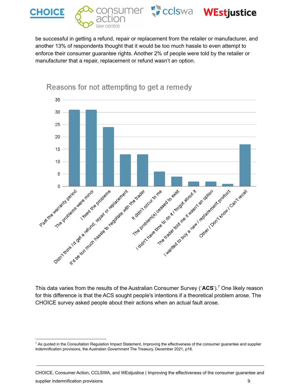

be successful in getting a refund, repair or replacement from the retailer or manufacturer, and another 13% of respondents thought that it would be too much hassle to even attempt to enforce their consumer guarantee rights. Another 2% of people were told by the retailer or manufacturer that a repair, replacement or refund wasn't an option.



Reasons for not attempting to get a remedy

This data varies from the results of the Australian Consumer Survey ('ACS').<sup>7</sup> One likely reason for this difference is that the ACS sought people's intentions if a theoretical problem arose. The CHOICE survey asked people about their actions when an actual fault arose.

CHOICE, Consumer Action, CCLSWA, and WEstjustice | Improving the effectiveness of the consumer guarantee and supplier indemnification provisions **9** and the state of the state of the state of the state of the state of the state of the state of the state of the state of the state of the state of the state of the state of the state

<sup>&</sup>lt;sup>7</sup> As quoted in the Consultation Regulation Impact Statement, Improving the effectiveness of the consumer guarantee and supplier indemnification provisions, the Australian Government The Treasury, December 2021, p18.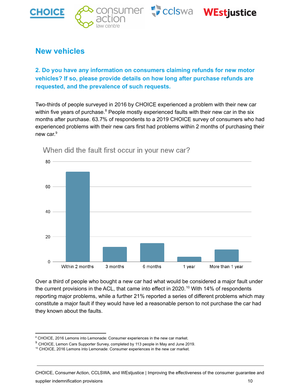







### <span id="page-10-0"></span>**New vehicles**

**2. Do you have any information on consumers claiming refunds for new motor vehicles? If so, please provide details on how long after purchase refunds are requested, and the prevalence of such requests.**

Two-thirds of people surveyed in 2016 by CHOICE experienced a problem with their new car within five years of purchase. $8$  People mostly experienced faults with their new car in the six months after purchase. 63.7% of respondents to a 2019 CHOICE survey of consumers who had experienced problems with their new cars first had problems within 2 months of purchasing their new car.<sup>9</sup>



When did the fault first occur in your new car?

Over a third of people who bought a new car had what would be considered a major fault under the current provisions in the ACL, that came into effect in 2020.<sup>10</sup> With 14% of respondents reporting major problems, while a further 21% reported a series of different problems which may constitute a major fault if they would have led a reasonable person to not purchase the car had they known about the faults.

CHOICE, Consumer Action, CCLSWA, and WEstjustice | Improving the effectiveness of the consumer guarantee and

supplier indemnification provisions 10 and 200 minutes of the state of the state of the state of the state of the state of the state of the state of the state of the state of the state of the state of the state of the stat

<sup>&</sup>lt;sup>8</sup> CHOICE, 2016 Lemons into Lemonade: Consumer experiences in the new car market.

<sup>&</sup>lt;sup>9</sup> CHOICE, Lemon Cars Supporter Survey, completed by 113 people in May and June 2019.

<sup>10</sup> CHOICE, 2016 Lemons into Lemonade: Consumer experiences in the new car market.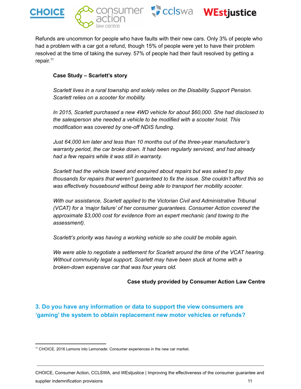





Refunds are uncommon for people who have faults with their new cars. Only 3% of people who had a problem with a car got a refund, though 15% of people were yet to have their problem resolved at the time of taking the survey. 57% of people had their fault resolved by getting a repair.<sup>11</sup>

#### **Case Study – Scarlett's story**

*Scarlett lives in a rural township and solely relies on the Disability Support Pension. Scarlett relies on a scooter for mobility.*

*In 2015, Scarlett purchased a new 4WD vehicle for about \$60,000. She had disclosed to the salesperson she needed a vehicle to be modified with a scooter hoist. This modification was covered by one-off NDIS funding.*

*Just 64,000 km later and less than 10 months out of the three-year manufacturer's warranty period, the car broke down. It had been regularly serviced, and had already had a few repairs while it was still in warranty.*

*Scarlett had the vehicle towed and enquired about repairs but was asked to pay thousands for repairs that weren't guaranteed to fix the issue. She couldn't afford this so was effectively housebound without being able to transport her mobility scooter.*

*With our assistance, Scarlett applied to the Victorian Civil and Administrative Tribunal (VCAT) for a 'major failure' of her consumer guarantees. Consumer Action covered the approximate \$3,000 cost for evidence from an expert mechanic (and towing to the assessment).*

*Scarlett's priority was having a working vehicle so she could be mobile again.*

*We were able to negotiate a settlement for Scarlett around the time of the VCAT hearing. Without community legal support, Scarlett may have been stuck at home with a broken-down expensive car that was four years old.*

#### **Case study provided by Consumer Action Law Centre**

**3. Do you have any information or data to support the view consumers are 'gaming' the system to obtain replacement new motor vehicles or refunds?**

<sup>11</sup> CHOICE, 2016 Lemons into Lemonade: Consumer experiences in the new car market.

CHOICE, Consumer Action, CCLSWA, and WEstjustice | Improving the effectiveness of the consumer guarantee and supplier indemnification provisions 11 and 200 minutes and 200 minutes of the state of the state of the state o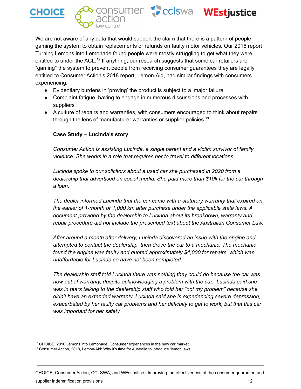







We are not aware of any data that would support the claim that there is a pattern of people gaming the system to obtain replacements or refunds on faulty motor vehicles. Our 2016 report Turning Lemons into Lemonade found people were mostly struggling to get what they were entitled to under the ACL.<sup>12</sup> If anything, our research suggests that some car retailers are "gaming" the system to prevent people from receiving consumer guarantees they are legally entitled to.Consumer Action's 2018 report, Lemon-Aid, had similar findings with consumers experiencing:

- Evidentiary burdens in 'proving' the product is subject to a 'major failure'
- Complaint fatigue, having to engage in numerous discussions and processes with suppliers
- A culture of repairs and warranties, with consumers encouraged to think about repairs through the lens of manufacturer warranties or supplier policies.<sup>13</sup>

#### **Case Study – Lucinda's story**

*Consumer Action is assisting Lucinda, a single parent and a victim survivor of family violence. She works in a role that requires her to travel to different locations.*

*Lucinda spoke to our solicitors about a used car she purchased in 2020 from a dealership that advertised on social media. She paid more than \$10k for the car through a loan.*

*The dealer informed Lucinda that the car came with a statutory warranty that expired on the earlier of 1-month or 1,000 km after purchase under the applicable state laws. A document provided by the dealership to Lucinda about its breakdown, warranty and repair procedure did not include the prescribed text about the Australian Consumer Law.*

*After around a month after delivery, Lucinda discovered an issue with the engine and attempted to contact the dealership, then drove the car to a mechanic. The mechanic found the engine was faulty and quoted approximately \$4,000 for repairs, which was unaffordable for Lucinda so have not been completed.*

*The dealership staff told Lucinda there was nothing they could do because the car was now out of warranty, despite acknowledging a problem with the car. Lucinda said she was in tears talking to the dealership staff who told her "not my problem" because she didn't have an extended warranty. Lucinda said she is experiencing severe depression, exacerbated by her faulty car problems and her difficulty to get to work, but that this car was important for her safety.*

supplier indemnification provisions 12

<sup>12</sup> CHOICE, 2016 Lemons into Lemonade: Consumer experiences in the new car market.

<sup>&</sup>lt;sup>13</sup> Consumer Action, 2018, Lemon-Aid: Why it's time for Australia to introduce 'lemon laws'.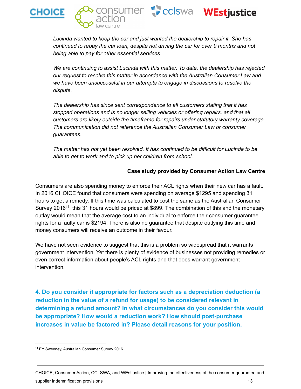



*Lucinda wanted to keep the car and just wanted the dealership to repair it. She has continued to repay the car loan, despite not driving the car for over 9 months and not being able to pay for other essential services.*

*We are continuing to assist Lucinda with this matter. To date, the dealership has rejected our request to resolve this matter in accordance with the Australian Consumer Law and we have been unsuccessful in our attempts to engage in discussions to resolve the dispute.*

*The dealership has since sent correspondence to all customers stating that it has stopped operations and is no longer selling vehicles or offering repairs, and that all customers are likely outside the timeframe for repairs under statutory warranty coverage. The communication did not reference the Australian Consumer Law or consumer guarantees.*

*The matter has not yet been resolved. It has continued to be difficult for Lucinda to be able to get to work and to pick up her children from school.*

#### **Case study provided by Consumer Action Law Centre**

Consumers are also spending money to enforce their ACL rights when their new car has a fault. In 2016 CHOICE found that consumers were spending on average \$1295 and spending 31 hours to get a remedy. If this time was calculated to cost the same as the Australian Consumer Survey 2016<sup>14</sup>, this 31 hours would be priced at \$899. The combination of this and the monetary outlay would mean that the average cost to an individual to enforce their consumer guarantee rights for a faulty car is \$2194. There is also no guarantee that despite outlying this time and money consumers will receive an outcome in their favour.

We have not seen evidence to suggest that this is a problem so widespread that it warrants government intervention. Yet there is plenty of evidence of businesses not providing remedies or even correct information about people's ACL rights and that does warrant government intervention.

**4. Do you consider it appropriate for factors such as a depreciation deduction (a reduction in the value of a refund for usage) to be considered relevant in determining a refund amount? In what circumstances do you consider this would be appropriate? How would a reduction work? How should post-purchase increases in value be factored in? Please detail reasons for your position.**

<sup>&</sup>lt;sup>14</sup> EY Sweeney, Australian Consumer Survey 2016.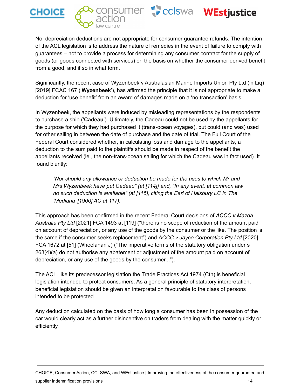







No, depreciation deductions are not appropriate for consumer guarantee refunds. The intention of the ACL legislation is to address the nature of remedies in the event of failure to comply with guarantees – not to provide a process for determining any consumer contract for the supply of goods (or goods connected with services) on the basis on whether the consumer derived benefit from a good, and if so in what form.

Significantly, the recent case of Wyzenbeek v Australasian Marine Imports Union Pty Ltd (in Liq) [2019] FCAC 167 ('**Wyzenbeek**'), has affirmed the principle that it is not appropriate to make a deduction for 'use benefit' from an award of damages made on a 'no transaction' basis.

In Wyzenbeek, the appellants were induced by misleading representations by the respondents to purchase a ship ('**Cadeau**'). Ultimately, the Cadeau could not be used by the appellants for the purpose for which they had purchased it (trans-ocean voyages), but could (and was) used for other sailing in between the date of purchase and the date of trial. The Full Court of the Federal Court considered whether, in calculating loss and damage to the appellants, a deduction to the sum paid to the plaintiffs should be made in respect of the benefit the appellants received (ie., the non-trans-ocean sailing for which the Cadeau was in fact used). It found bluntly:

*"Nor should any allowance or deduction be made for the uses to which Mr and Mrs Wyzenbeek have put Cadeau" (at [114]) and, "In any event, at common law no such deduction is available" (at [115], citing the Earl of Halsbury LC in The 'Mediana' [1900] AC at 117).*

This approach has been confirmed in the recent Federal Court decisions of *ACCC v Mazda Australia Pty Ltd* [2021] FCA 1493 at [119] ("there is no scope of reduction of the amount paid on account of depreciation, or any use of the goods by the consumer or the like. The position is the same if the consumer seeks replacement") and *ACCC v Jayco Corporation Pty Ltd* [2020] FCA 1672 at [51] (Wheelahan J) ("The imperative terms of the statutory obligation under s 263(4)(a) do not authorise any abatement or adjustment of the amount paid on account of depreciation, or any use of the goods by the consumer...").

The ACL, like its predecessor legislation the Trade Practices Act 1974 (Cth) is beneficial legislation intended to protect consumers. As a general principle of statutory interpretation, beneficial legislation should be given an interpretation favourable to the class of persons intended to be protected.

Any deduction calculated on the basis of how long a consumer has been in possession of the car would clearly act as a further disincentive on traders from dealing with the matter quickly or efficiently.

CHOICE, Consumer Action, CCLSWA, and WEstjustice | Improving the effectiveness of the consumer guarantee and supplier indemnification provisions 14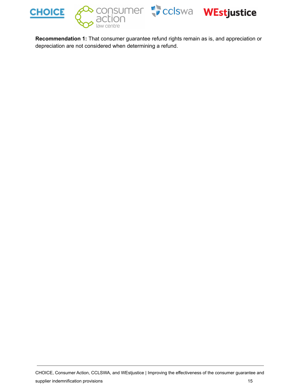

**Recommendation 1:** That consumer guarantee refund rights remain as is, and appreciation or depreciation are not considered when determining a refund.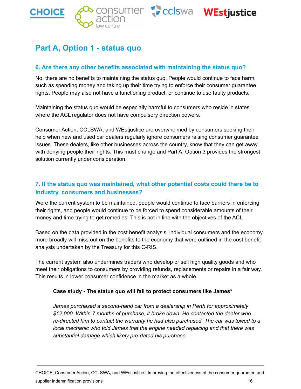





### <span id="page-16-0"></span>**Part A, Option 1 - status quo**

#### **6. Are there any other benefits associated with maintaining the status quo?**

No, there are no benefits to maintaining the status quo. People would continue to face harm, such as spending money and taking up their time trying to enforce their consumer guarantee rights. People may also not have a functioning product, or continue to use faulty products.

Maintaining the status quo would be especially harmful to consumers who reside in states where the ACL regulator does not have compulsory direction powers.

Consumer Action, CCLSWA, and WEstjustice are overwhelmed by consumers seeking their help when new and used car dealers regularly ignore consumers raising consumer guarantee issues. These dealers, like other businesses across the country, know that they can get away with denying people their rights. This must change and Part A, Option 3 provides the strongest solution currently under consideration.

#### **7. If the status quo was maintained, what other potential costs could there be to industry, consumers and businesses?**

Were the current system to be maintained, people would continue to face barriers in enforcing their rights, and people would continue to be forced to spend considerable amounts of their money and time trying to get remedies. This is not in line with the objectives of the ACL.

Based on the data provided in the cost benefit analysis, individual consumers and the economy more broadly will miss out on the benefits to the economy that were outlined in the cost benefit analysis undertaken by the Treasury for this C-RIS.

The current system also undermines traders who develop or sell high quality goods and who meet their obligations to consumers by providing refunds, replacements or repairs in a fair way. This results in lower consumer confidence in the market as a whole.

#### **Case study - The status quo will fail to protect consumers like James\***

*James purchased a second-hand car from a dealership in Perth for approximately \$12,000. Within 7 months of purchase, it broke down. He contacted the dealer who re-directed him to contact the warranty he had also purchased. The car was towed to a local mechanic who told James that the engine needed replacing and that there was substantial damage which likely pre-dated his purchase.*

CHOICE, Consumer Action, CCLSWA, and WEstjustice | Improving the effectiveness of the consumer guarantee and supplier indemnification provisions 16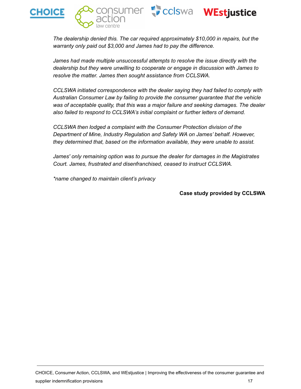





*The dealership denied this. The car required approximately \$10,000 in repairs, but the warranty only paid out \$3,000 and James had to pay the difference.*

*James had made multiple unsuccessful attempts to resolve the issue directly with the dealership but they were unwilling to cooperate or engage in discussion with James to resolve the matter. James then sought assistance from CCLSWA.*

*CCLSWA initiated correspondence with the dealer saying they had failed to comply with Australian Consumer Law by failing to provide the consumer guarantee that the vehicle was of acceptable quality, that this was a major failure and seeking damages. The dealer also failed to respond to CCLSWA's initial complaint or further letters of demand.*

*CCLSWA then lodged a complaint with the Consumer Protection division of the Department of Mine, Industry Regulation and Safety WA on James' behalf. However, they determined that, based on the information available, they were unable to assist.*

*James' only remaining option was to pursue the dealer for damages in the Magistrates Court. James, frustrated and disenfranchised, ceased to instruct CCLSWA.*

*\*name changed to maintain client's privacy*

#### **Case study provided by CCLSWA**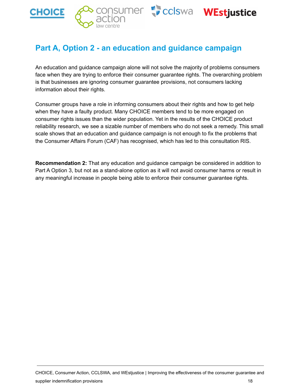

### <span id="page-18-0"></span>**Part A, Option 2 - an education and guidance campaign**

An education and guidance campaign alone will not solve the majority of problems consumers face when they are trying to enforce their consumer guarantee rights. The overarching problem is that businesses are ignoring consumer guarantee provisions, not consumers lacking information about their rights.

Consumer groups have a role in informing consumers about their rights and how to get help when they have a faulty product. Many CHOICE members tend to be more engaged on consumer rights issues than the wider population. Yet in the results of the CHOICE product reliability research, we see a sizable number of members who do not seek a remedy. This small scale shows that an education and guidance campaign is not enough to fix the problems that the Consumer Affairs Forum (CAF) has recognised, which has led to this consultation RIS.

**Recommendation 2:** That any education and guidance campaign be considered in addition to Part A Option 3, but not as a stand-alone option as it will not avoid consumer harms or result in any meaningful increase in people being able to enforce their consumer guarantee rights.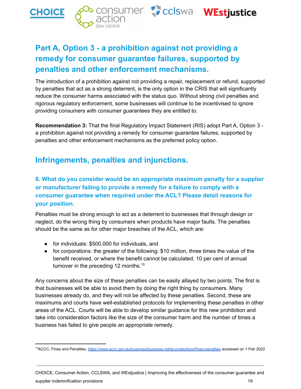





# consumer Coclswa WEstjustice

## **Part A, Option 3 - a prohibition against not providing a remedy for consumer guarantee failures, supported by penalties and other enforcement mechanisms.**

<span id="page-19-0"></span>The introduction of a prohibition against not providing a repair, replacement or refund, supported by penalties that act as a strong deterrent, is the only option in the CRIS that will significantly reduce the consumer harms associated with the status quo. Without strong civil penalties and rigorous regulatory enforcement, some businesses will continue to be incentivised to ignore providing consumers with consumer guarantees they are entitled to.

**Recommendation 3:** That the final Regulatory Impact Statement (RIS) adopt Part A, Option 3 a prohibition against not providing a remedy for consumer guarantee failures, supported by penalties and other enforcement mechanisms as the preferred policy option.

### <span id="page-19-1"></span>**Infringements, penalties and injunctions.**

**8. What do you consider would be an appropriate maximum penalty for a supplier or manufacturer failing to provide a remedy for a failure to comply with a consumer guarantee when required under the ACL? Please detail reasons for your position.**

Penalties must be strong enough to act as a deterrent to businesses that through design or neglect, do the wrong thing by consumers when products have major faults. The penalties should be the same as for other major breaches of the ACL, which are:

- for individuals: \$500,000 for individuals, and
- for corporations: the greater of the following: \$10 million, three times the value of the benefit received, or where the benefit cannot be calculated, 10 per cent of annual turnover in the preceding 12 months.<sup>15</sup>

Any concerns about the size of these penalties can be easily allayed by two points. The first is that businesses will be able to avoid them by doing the right thing by consumers. Many businesses already do, and they will not be affected by these penalties. Second, these are maximums and courts have well-established protocols for implementing these penalties in other areas of the ACL. Courts will be able to develop similar guidance for this new prohibition and take into consideration factors like the size of the consumer harm and the number of times a business has failed to give people an appropriate remedy.

CHOICE, Consumer Action, CCLSWA, and WEstjustice | Improving the effectiveness of the consumer guarantee and supplier indemnification provisions 19

<sup>&</sup>lt;sup>15</sup>ACCC, Fines and Penalties, <https://www.accc.gov.au/business/business-rights-protections/fines-penalties> accessed on 1 Feb 2022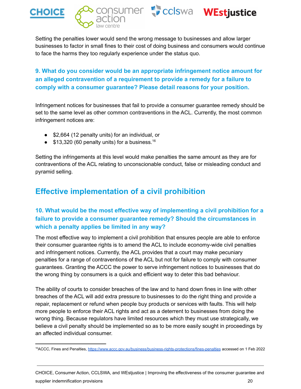





### **9. What do you consider would be an appropriate infringement notice amount for an alleged contravention of a requirement to provide a remedy for a failure to comply with a consumer guarantee? Please detail reasons for your position.**

Infringement notices for businesses that fail to provide a consumer guarantee remedy should be set to the same level as other common contraventions in the ACL. Currently, the most common infringement notices are:

- \$2,664 (12 penalty units) for an individual, or
- $\bullet$  \$13,320 (60 penalty units) for a business.<sup>16</sup>

Setting the infringements at this level would make penalties the same amount as they are for contraventions of the ACL relating to unconscionable conduct, false or misleading conduct and pyramid selling.

### <span id="page-20-0"></span>**Effective implementation of a civil prohibition**

#### **10. What would be the most effective way of implementing a civil prohibition for a failure to provide a consumer guarantee remedy? Should the circumstances in which a penalty applies be limited in any way?**

The most effective way to implement a civil prohibition that ensures people are able to enforce their consumer guarantee rights is to amend the ACL to include economy-wide civil penalties and infringement notices. Currently, the ACL provides that a court may make pecuniary penalties for a range of contraventions of the ACL but not for failure to comply with consumer guarantees. Granting the ACCC the power to serve infringement notices to businesses that do the wrong thing by consumers is a quick and efficient way to deter this bad behaviour.

The ability of courts to consider breaches of the law and to hand down fines in line with other breaches of the ACL will add extra pressure to businesses to do the right thing and provide a repair, replacement or refund when people buy products or services with faults. This will help more people to enforce their ACL rights and act as a deterrent to businesses from doing the wrong thing. Because regulators have limited resources which they must use strategically, we believe a civil penalty should be implemented so as to be more easily sought in proceedings by an affected individual consumer.

CHOICE, Consumer Action, CCLSWA, and WEstjustice | Improving the effectiveness of the consumer guarantee and supplier indemnification provisions **20** and the state of the state of the state of the state of the state of the state of the state of the state of the state of the state of the state of the state of the state of the stat

<sup>&</sup>lt;sup>16</sup>ACCC, Fines and Penalties, <https://www.accc.gov.au/business/business-rights-protections/fines-penalties> accessed on 1 Feb 2022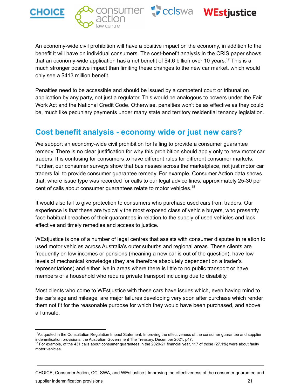







An economy-wide civil prohibition will have a positive impact on the economy, in addition to the benefit it will have on individual consumers. The cost-benefit analysis in the CRIS paper shows that an economy-wide application has a net benefit of \$4.6 billion over 10 years.<sup>17</sup> This is a much stronger positive impact than limiting these changes to the new car market, which would only see a \$413 million benefit.

Penalties need to be accessible and should be issued by a competent court or tribunal on application by any party, not just a regulator. This would be analogous to powers under the Fair Work Act and the National Credit Code. Otherwise, penalties won't be as effective as they could be, much like pecuniary payments under many state and territory residential tenancy legislation.

### <span id="page-21-0"></span>**Cost benefit analysis - economy wide or just new cars?**

We support an economy-wide civil prohibition for failing to provide a consumer guarantee remedy. There is no clear justification for why this prohibition should apply only to new motor car traders. It is confusing for consumers to have different rules for different consumer markets. Further, our consumer surveys show that businesses across the marketplace, not just motor car traders fail to provide consumer guarantee remedy. For example, Consumer Action data shows that, where issue type was recorded for calls to our legal advice lines, approximately 25-30 per cent of calls about consumer guarantees relate to motor vehicles.<sup>18</sup>

It would also fail to give protection to consumers who purchase used cars from traders. Our experience is that these are typically the most exposed class of vehicle buyers, who presently face habitual breaches of their guarantees in relation to the supply of used vehicles and lack effective and timely remedies and access to justice.

WEstjustice is one of a number of legal centres that assists with consumer disputes in relation to used motor vehicles across Australia's outer suburbs and regional areas. These clients are frequently on low incomes or pensions (meaning a new car is out of the question), have low levels of mechanical knowledge (they are therefore absolutely dependent on a trader's representations) and either live in areas where there is little to no public transport or have members of a household who require private transport including due to disability.

Most clients who come to WEstjustice with these cars have issues which, even having mind to the car's age and mileage, are major failures developing very soon after purchase which render them not fit for the reasonable purpose for which they would have been purchased, and above all unsafe.

CHOICE, Consumer Action, CCLSWA, and WEstjustice | Improving the effectiveness of the consumer guarantee and

supplier indemnification provisions **21** and 20 and 20 and 20 and 20 and 20 and 20 and 20 and 20 and 20 and 20 and 20 and 20 and 20 and 20 and 20 and 20 and 20 and 20 and 20 and 20 and 20 and 20 and 20 and 20 and 20 and 20

<sup>&</sup>lt;sup>17</sup>As quoted in the Consultation Regulation Impact Statement, Improving the effectiveness of the consumer guarantee and supplier indemnification provisions, the Australian Government The Treasury, December 2021, p47.

<sup>&</sup>lt;sup>18</sup> For example, of the 431 calls about consumer guarantees in the 2020-21 financial year, 117 of those (27.1%) were about faulty motor vehicles.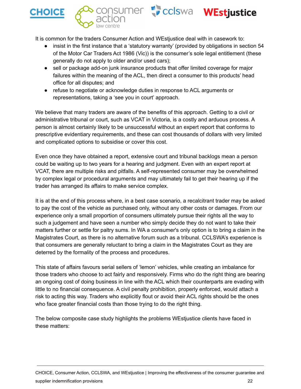



It is common for the traders Consumer Action and WEstjustice deal with in casework to:

- insist in the first instance that a 'statutory warranty' (provided by obligations in section 54 of the Motor Car Traders Act 1986 (Vic)) is the consumer's sole legal entitlement (these generally do not apply to older and/or used cars);
- sell or package add-on junk insurance products that offer limited coverage for major failures within the meaning of the ACL, then direct a consumer to this products' head office for all disputes; and
- refuse to negotiate or acknowledge duties in response to ACL arguments or representations, taking a 'see you in court' approach.

We believe that many traders are aware of the benefits of this approach. Getting to a civil or administrative tribunal or court, such as VCAT in Victoria, is a costly and arduous process. A person is almost certainly likely to be unsuccessful without an expert report that conforms to prescriptive evidentiary requirements, and these can cost thousands of dollars with very limited and complicated options to subsidise or cover this cost.

Even once they have obtained a report, extensive court and tribunal backlogs mean a person could be waiting up to two years for a hearing and judgment. Even with an expert report at VCAT, there are multiple risks and pitfalls. A self-represented consumer may be overwhelmed by complex legal or procedural arguments and may ultimately fail to get their hearing up if the trader has arranged its affairs to make service complex.

It is at the end of this process where, in a best case scenario, a recalcitrant trader may be asked to pay the cost of the vehicle as purchased only, without any other costs or damages. From our experience only a small proportion of consumers ultimately pursue their rights all the way to such a judgement and have seen a number who simply decide they do not want to take their matters further or settle for paltry sums. In WA a consumer's only option is to bring a claim in the Magistrates Court, as there is no alternative forum such as a tribunal. CCLSWA's experience is that consumers are generally reluctant to bring a claim in the Magistrates Court as they are deterred by the formality of the process and procedures.

This state of affairs favours serial sellers of 'lemon' vehicles, while creating an imbalance for those traders who choose to act fairly and responsively. Firms who do the right thing are bearing an ongoing cost of doing business in line with the ACL which their counterparts are evading with little to no financial consequence. A civil penalty prohibition, properly enforced, would attach a risk to acting this way. Traders who explicitly flout or avoid their ACL rights should be the ones who face greater financial costs than those trying to do the right thing.

The below composite case study highlights the problems WEstjustice clients have faced in these matters: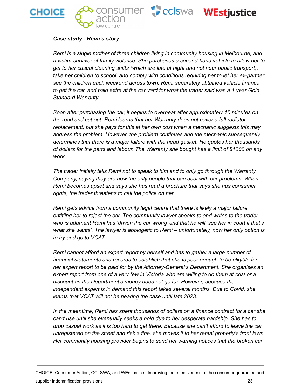







#### *Case study - Remi's story*

*Remi is a single mother of three children living in community housing in Melbourne, and a victim-survivor of family violence. She purchases a second-hand vehicle to allow her to get to her casual cleaning shifts (which are late at night and not near public transport), take her children to school, and comply with conditions requiring her to let her ex-partner see the children each weekend across town. Remi separately obtained vehicle finance* to get the car, and paid extra at the car yard for what the trader said was a 1 year Gold *Standard Warranty.*

*Soon after purchasing the car, it begins to overheat after approximately 10 minutes on the road and cut out. Remi learns that her Warranty does not cover a full radiator replacement, but she pays for this at her own cost when a mechanic suggests this may address the problem. However, the problem continues and the mechanic subsequently determines that there is a major failure with the head gasket. He quotes her thousands of dollars for the parts and labour. The Warranty she bought has a limit of \$1000 on any work.*

*The trader initially tells Remi not to speak to him and to only go through the Warranty Company, saying they are now the only people that can deal with car problems. When Remi becomes upset and says she has read a brochure that says she has consumer rights, the trader threatens to call the police on her.*

*Remi gets advice from a community legal centre that there is likely a major failure entitling her to reject the car. The community lawyer speaks to and writes to the trader, who is adamant Remi has 'driven the car wrong' and that he will 'see her in court if that's what she wants'. The lawyer is apologetic to Remi – unfortunately, now her only option is to try and go to VCAT.*

*Remi cannot afford an expert report by herself and has to gather a large number of financial statements and records to establish that she is poor enough to be eligible for her expert report to be paid for by the Attorney-General's Department. She organises an* expert report from one of a very few in Victoria who are willing to do them at cost or a *discount as the Department's money does not go far. However, because the independent expert is in demand this report takes several months. Due to Covid, she learns that VCAT will not be hearing the case until late 2023.*

*In the meantime, Remi has spent thousands of dollars on a finance contract for a car she can't use until she eventually seeks a hold due to her desperate hardship. She has to drop casual work as it is too hard to get there. Because she can't afford to leave the car unregistered on the street and risk a fine, she moves it to her rental property's front lawn. Her community housing provider begins to send her warning notices that the broken car*

CHOICE, Consumer Action, CCLSWA, and WEstjustice | Improving the effectiveness of the consumer guarantee and supplier indemnification provisions **23** and the state of the state of the state of the state of the state of the state of the state of the state of the state of the state of the state of the state of the state of the stat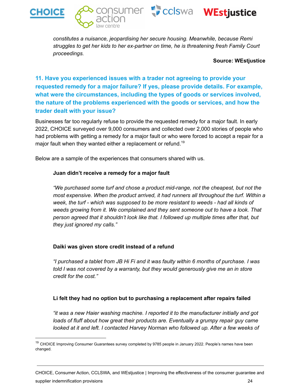







*constitutes a nuisance, jeopardising her secure housing. Meanwhile, because Remi struggles to get her kids to her ex-partner on time, he is threatening fresh Family Court proceedings.*

#### **Source: WEstjustice**

**11. Have you experienced issues with a trader not agreeing to provide your requested remedy for a major failure? If yes, please provide details. For example, what were the circumstances, including the types of goods or services involved, the nature of the problems experienced with the goods or services, and how the trader dealt with your issue?**

Businesses far too regularly refuse to provide the requested remedy for a major fault. In early 2022, CHOICE surveyed over 9,000 consumers and collected over 2,000 stories of people who had problems with getting a remedy for a major fault or who were forced to accept a repair for a major fault when they wanted either a replacement or refund.<sup>19</sup>

Below are a sample of the experiences that consumers shared with us.

#### **Juan didn't receive a remedy for a major fault**

*"We purchased some turf and chose a product mid-range, not the cheapest, but not the most expensive. When the product arrived, it had runners all throughout the turf. Within a week, the turf - which was supposed to be more resistant to weeds - had all kinds of weeds growing from it. We complained and they sent someone out to have a look. That person agreed that it shouldn't look like that. I followed up multiple times after that, but they just ignored my calls."*

#### **Daiki was given store credit instead of a refund**

*"I purchased a tablet from JB Hi Fi and it was faulty within 6 months of purchase. I was told I was not covered by a warranty, but they would generously give me an in store credit for the cost."*

#### **Li felt they had no option but to purchasing a replacement after repairs failed**

*"it was a new Haier washing machine. I reported it to the manufacturer initially and got loads of fluff about how great their products are. Eventually a grumpy repair guy came looked at it and left. I contacted Harvey Norman who followed up. After a few weeks of*

CHOICE, Consumer Action, CCLSWA, and WEstjustice | Improving the effectiveness of the consumer guarantee and supplier indemnification provisions **24** and 24 and 25 and 26 and 26 and 26 and 26 and 26 and 26 and 26 and 26 and 26 and 26 and 26 and 26 and 26 and 26 and 26 and 26 and 26 and 26 and 26 and 26 and 26 and 26 and 26 and 26

<sup>&</sup>lt;sup>19</sup> CHOICE Improving Consumer Guarantees survey completed by 9785 people in January 2022. People's names have been changed.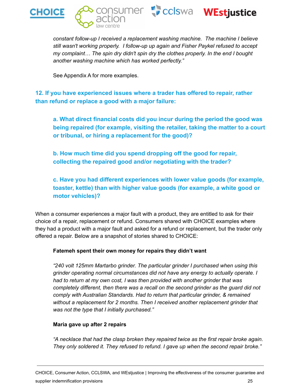





*constant follow-up I received a replacement washing machine. The machine I believe still wasn't working properly. I follow-up up again and Fisher Paykel refused to accept my complaint… The spin dry didn't spin dry the clothes properly. In the end I bought another washing machine which has worked perfectly."*

See Appendix A for more examples.

**12. If you have experienced issues where a trader has offered to repair, rather than refund or replace a good with a major failure:**

**a. What direct financial costs did you incur during the period the good was being repaired (for example, visiting the retailer, taking the matter to a court or tribunal, or hiring a replacement for the good)?**

**b. How much time did you spend dropping off the good for repair, collecting the repaired good and/or negotiating with the trader?**

**c. Have you had different experiences with lower value goods (for example, toaster, kettle) than with higher value goods (for example, a white good or motor vehicles)?**

When a consumer experiences a major fault with a product, they are entitled to ask for their choice of a repair, replacement or refund. Consumers shared with CHOICE examples where they had a product with a major fault and asked for a refund or replacement, but the trader only offered a repair. Below are a snapshot of stories shared to CHOICE:

#### **Fatemeh spent their own money for repairs they didn't want**

*"240 volt 125mm Martarbo grinder. The particular grinder I purchased when using this grinder operating normal circumstances did not have any energy to actually operate. I had to return at my own cost, I was then provided with another grinder that was completely different, then there was a recall on the second grinder as the guard did not comply with Australian Standards. Had to return that particular grinder, & remained without a replacement for 2 months. Then I received another replacement grinder that was not the type that I initially purchased."*

#### **Maria gave up after 2 repairs**

*"A necklace that had the clasp broken they repaired twice as the first repair broke again. They only soldered it. They refused to refund. I gave up when the second repair broke."*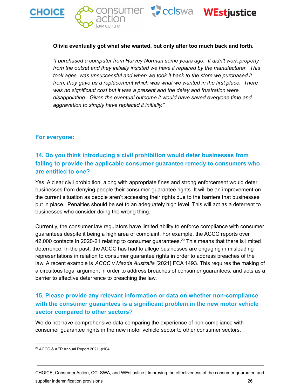





#### **Olivia eventually got what she wanted, but only after too much back and forth.**

*"I purchased a computer from Harvey Norman some years ago. It didn't work properly from the outset and they initially insisted we have it repaired by the manufacturer. This took ages, was unsuccessful and when we took it back to the store we purchased it from, they gave us a replacement which was what we wanted in the first place. There was no significant cost but it was a present and the delay and frustration were disappointing. Given the eventual outcome it would have saved everyone time and aggravation to simply have replaced it initially."*

#### **For everyone:**

#### **14. Do you think introducing a civil prohibition would deter businesses from failing to provide the applicable consumer guarantee remedy to consumers who are entitled to one?**

Yes. A clear civil prohibition, along with appropriate fines and strong enforcement would deter businesses from denying people their consumer guarantee rights. It will be an improvement on the current situation as people aren't accessing their rights due to the barriers that businesses put in place. Penalties should be set to an adequately high level. This will act as a deterrent to businesses who consider doing the wrong thing.

Currently, the consumer law regulators have limited ability to enforce compliance with consumer guarantees despite it being a high area of complaint. For example, the ACCC reports over 42,000 contacts in 2020-21 relating to consumer guarantees.<sup>20</sup> This means that there is limited deterrence. In the past, the ACCC has had to allege businesses are engaging in misleading representations in relation to consumer guarantee rights in order to address breaches of the law. A recent example is *ACCC v Mazda Australia* [2021] FCA 1493. This requires the making of a circuitous legal argument in order to address breaches of consumer guarantees, and acts as a barrier to effective deterrence to breaching the law.

#### **15. Please provide any relevant information or data on whether non-compliance with the consumer guarantees is a significant problem in the new motor vehicle sector compared to other sectors?**

We do not have comprehensive data comparing the experience of non-compliance with consumer guarantee rights in the new motor vehicle sector to other consumer sectors.

<sup>20</sup> ACCC & AER Annual Report 2021, p104.

CHOICE, Consumer Action, CCLSWA, and WEstjustice | Improving the effectiveness of the consumer guarantee and supplier indemnification provisions **26** and 26 and 26 and 26 and 26 and 26 and 26 and 26 and 26 and 26 and 26 and 26 and 26 and 26 and 26 and 26 and 26 and 26 and 26 and 26 and 26 and 26 and 26 and 26 and 26 and 26 and 26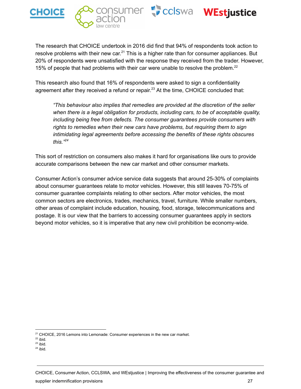





The research that CHOICE undertook in 2016 did find that 94% of respondents took action to resolve problems with their new car.<sup>21</sup> This is a higher rate than for consumer appliances. But 20% of respondents were unsatisfied with the response they received from the trader. However, 15% of people that had problems with their car were unable to resolve the problem. 22

This research also found that 16% of respondents were asked to sign a confidentiality agreement after they received a refund or repair.<sup>23</sup> At the time, CHOICE concluded that:

*"This behaviour also implies that remedies are provided at the discretion of the seller when there is a legal obligation for products, including cars, to be of acceptable quality, including being free from defects. The consumer guarantees provide consumers with rights to remedies when their new cars have problems, but requiring them to sign intimidating legal agreements before accessing the benefits of these rights obscures this." 24*

This sort of restriction on consumers also makes it hard for organisations like ours to provide accurate comparisons between the new car market and other consumer markets.

Consumer Action's consumer advice service data suggests that around 25-30% of complaints about consumer guarantees relate to motor vehicles. However, this still leaves 70-75% of consumer guarantee complaints relating to other sectors. After motor vehicles, the most common sectors are electronics, trades, mechanics, travel, furniture. While smaller numbers, other areas of complaint include education, housing, food, storage, telecommunications and postage. It is our view that the barriers to accessing consumer guarantees apply in sectors beyond motor vehicles, so it is imperative that any new civil prohibition be economy-wide.

<sup>&</sup>lt;sup>21</sup> CHOICE, 2016 Lemons into Lemonade: Consumer experiences in the new car market.

 $22$  ibid.

 $23$  ibid.

 $24$  ibid.

CHOICE, Consumer Action, CCLSWA, and WEstjustice | Improving the effectiveness of the consumer guarantee and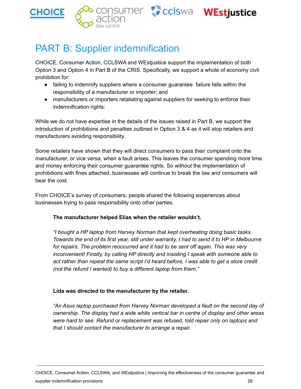





# <span id="page-28-0"></span>PART B: Supplier indemnification

CHOICE, Consumer Action, CCLSWA and WEstjustice support the implementation of both Option 3 and Option 4 in Part B of the CRIS. Specifically, we support a whole of economy civil prohibition for:

- failing to indemnify suppliers where a consumer guarantee failure falls within the responsibility of a manufacturer or importer; and
- manufacturers or importers retaliating against suppliers for seeking to enforce their indemnification rights:

While we do not have expertise in the details of the issues raised in Part B, we support the introduction of prohibitions and penalties outlined in Option 3 & 4 as it will stop retailers and manufacturers avoiding responsibility.

Some retailers have shown that they will direct consumers to pass their complaint onto the manufacturer, or vice versa, when a fault arises. This leaves the consumer spending more time and money enforcing their consumer guarantee rights. So without the implementation of prohibitions with fines attached, businesses will continue to break the law and consumers will bear the cost.

From CHOICE's survey of consumers, people shared the following experiences about businesses trying to pass responsibility onto other parties.

#### **The manufacturer helped Elias when the retailer wouldn't.**

*"I bought a HP laptop from Harvey Norman that kept overheating doing basic tasks.* Towards the end of its first year, still under warranty, I had to send it to HP in Melbourne *for repairs. The problem reoccurred and it had to be sent off again. This was very inconvenient! Finally, by calling HP directly and insisting I speak with someone able to act rather than repeat the same script I'd heard before, I was able to get a store credit (not the refund I wanted) to buy a different laptop from them."*

#### **Lida was directed to the manufacturer by the retailer.**

*"An Asus laptop purchased from Harvey Norman developed a fault on the second day of ownership. The display had a wide white vertical bar in centre of display and other areas were hard to see. Refund or replacement was refused, told repair only on laptops and that I should contact the manufacturer to arrange a repair.*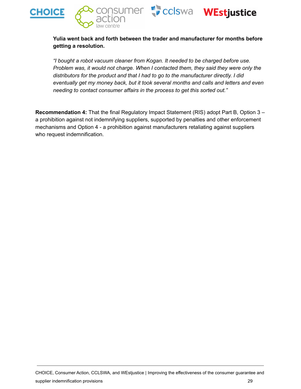





#### **Yulia went back and forth between the trader and manufacturer for months before getting a resolution.**

*"I bought a robot vacuum cleaner from Kogan. It needed to be charged before use. Problem was, it would not charge. When I contacted them, they said they were only the distributors for the product and that I had to go to the manufacturer directly. I did eventually get my money back, but it took several months and calls and letters and even needing to contact consumer affairs in the process to get this sorted out."*

**Recommendation 4:** That the final Regulatory Impact Statement (RIS) adopt Part B, Option 3 – a prohibition against not indemnifying suppliers, supported by penalties and other enforcement mechanisms and Option 4 - a prohibition against manufacturers retaliating against suppliers who request indemnification.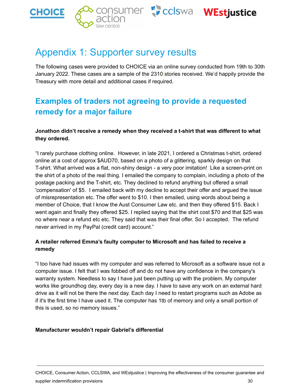



# <span id="page-30-0"></span>Appendix 1: Supporter survey results

The following cases were provided to CHOICE via an online survey conducted from 19th to 30th January 2022. These cases are a sample of the 2310 stories received. We'd happily provide the Treasury with more detail and additional cases if required.

### <span id="page-30-1"></span>**Examples of traders not agreeing to provide a requested remedy for a major failure**

#### **Jonathon didn't receive a remedy when they received a t-shirt that was different to what they ordered.**

"I rarely purchase clothing online. However, in late 2021, I ordered a Christmas t-shirt, ordered online at a cost of approx \$AUD70, based on a photo of a glittering, sparkly design on that T-shirt. What arrived was a flat, non-shiny design - a very poor imitation! Like a screen-print on the shirt of a photo of the real thing. I emailed the company to complain, including a photo of the postage packing and the T-shirt, etc. They declined to refund anything but offered a small 'compensation' of \$5. I emailed back with my decline to accept their offer and argued the issue of misrepresentation etc. The offer went to \$10. I then emailed, using words about being a member of Choice, that I know the Aust Consumer Law etc. and then they offered \$15. Back I went again and finally they offered \$25. I replied saying that the shirt cost \$70 and that \$25 was no where near a refund etc etc. They said that was their final offer. So I accepted. The refund never arrived in my PayPal (credit card) account."

#### **A retailer referred Emma's faulty computer to Microsoft and has failed to receive a remedy**

"I too have had issues with my computer and was referred to Microsoft as a software issue not a computer issue. I felt that I was fobbed off and do not have any confidence in the company's warranty system. Needless to say I have just been putting up with the problem. My computer works like groundhog day, every day is a new day. I have to save any work on an external hard drive as it will not be there the next day. Each day I need to restart programs such as Adobe as if it's the first time I have used it. The computer has 1tb of memory and only a small portion of this is used, so no memory issues."

#### **Manufacturer wouldn't repair Gabriel's differential**

CHOICE, Consumer Action, CCLSWA, and WEstjustice | Improving the effectiveness of the consumer guarantee and supplier indemnification provisions 30 and 30 and 30 and 30 and 30 and 30 and 30 and 30 and 30 and 30 and 30 and 30 and 30 and 30 and 30 and 30 and 30 and 30 and 30 and 30 and 30 and 30 and 30 and 30 and 30 and 30 and 30 a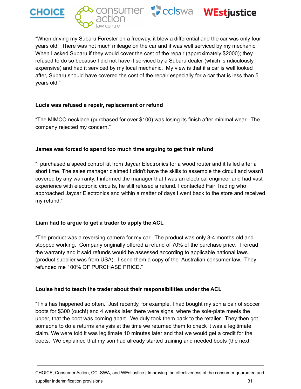





"When driving my Subaru Forester on a freeway, it blew a differential and the car was only four years old. There was not much mileage on the car and it was well serviced by my mechanic. When I asked Subaru if they would cover the cost of the repair (approximately \$2000); they refused to do so because I did not have it serviced by a Subaru dealer (which is ridiculously expensive) and had it serviced by my local mechanic. My view is that if a car is well looked after, Subaru should have covered the cost of the repair especially for a car that is less than 5 years old."

#### **Lucia was refused a repair, replacement or refund**

"The MIMCO necklace (purchased for over \$100) was losing its finish after minimal wear. The company rejected my concern."

#### **James was forced to spend too much time arguing to get their refund**

"I purchased a speed control kit from Jaycar Electronics for a wood router and it failed after a short time. The sales manager claimed I didn't have the skills to assemble the circuit and wasn't covered by any warranty. I informed the manager that I was an electrical engineer and had vast experience with electronic circuits, he still refused a refund. I contacted Fair Trading who approached Jaycar Electronics and within a matter of days I went back to the store and received my refund."

#### **Liam had to argue to get a trader to apply the ACL**

"The product was a reversing camera for my car. The product was only 3-4 months old and stopped working. Company originally offered a refund of 70% of the purchase price. I reread the warranty and it said refunds would be assessed according to applicable national laws. (product supplier was from USA). I send them a copy of the Australian consumer law. They refunded me 100% OF PURCHASE PRICE."

#### **Louise had to teach the trader about their responsibilities under the ACL**

"This has happened so often. Just recently, for example, I had bought my son a pair of soccer boots for \$300 (ouch!) and 4 weeks later there were signs, where the sole-plate meets the upper, that the boot was coming apart. We duly took them back to the retailer. They then got someone to do a returns analysis at the time we returned them to check it was a legitimate claim. We were told it was legitimate 10 minutes later and that we would get a credit for the boots. We explained that my son had already started training and needed boots (the next

CHOICE, Consumer Action, CCLSWA, and WEstjustice | Improving the effectiveness of the consumer guarantee and supplier indemnification provisions 31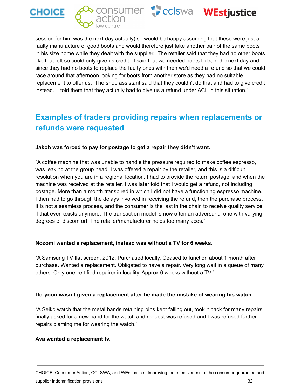







session for him was the next day actually) so would be happy assuming that these were just a faulty manufacture of good boots and would therefore just take another pair of the same boots in his size home while they dealt with the supplier. The retailer said that they had no other boots like that left so could only give us credit. I said that we needed boots to train the next day and since they had no boots to replace the faulty ones with then we'd need a refund so that we could race around that afternoon looking for boots from another store as they had no suitable replacement to offer us. The shop assistant said that they couldn't do that and had to give credit instead. I told them that they actually had to give us a refund under ACL in this situation."

### <span id="page-32-0"></span>**Examples of traders providing repairs when replacements or refunds were requested**

#### **Jakob was forced to pay for postage to get a repair they didn't want.**

"A coffee machine that was unable to handle the pressure required to make coffee espresso, was leaking at the group head. I was offered a repair by the retailer, and this is a difficult resolution when you are in a regional location. I had to provide the return postage, and when the machine was received at the retailer, I was later told that I would get a refund, not including postage. More than a month transpired in which I did not have a functioning espresso machine. I then had to go through the delays involved in receiving the refund, then the purchase process. It is not a seamless process, and the consumer is the last in the chain to receive quality service, if that even exists anymore. The transaction model is now often an adversarial one with varying degrees of discomfort. The retailer/manufacturer holds too many aces."

#### **Nozomi wanted a replacement, instead was without a TV for 6 weeks.**

"A Samsung TV flat screen. 2012. Purchased locally. Ceased to function about 1 month after purchase. Wanted a replacement. Obligated to have a repair. Very long wait in a queue of many others. Only one certified repairer in locality. Approx 6 weeks without a TV."

#### **Do-yoon wasn't given a replacement after he made the mistake of wearing his watch.**

"A Seiko watch that the metal bands retaining pins kept falling out, took it back for many repairs finally asked for a new band for the watch and request was refused and I was refused further repairs blaming me for wearing the watch."

#### **Ava wanted a replacement tv.**

CHOICE, Consumer Action, CCLSWA, and WEstjustice | Improving the effectiveness of the consumer guarantee and supplier indemnification provisions 32